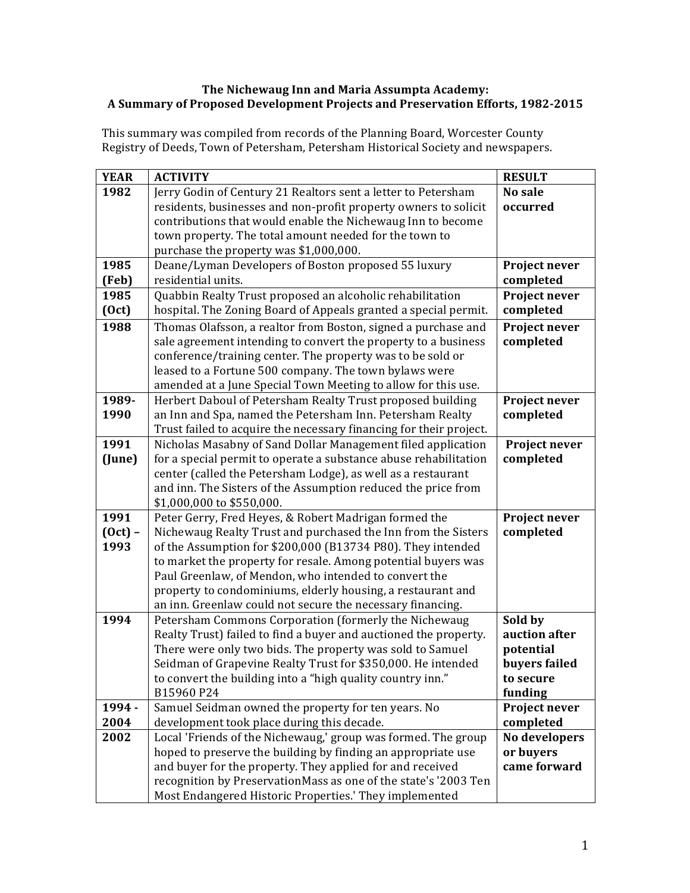## **The Nichewaug Inn and Maria Assumpta Academy: A Summary of Proposed Development Projects and Preservation Efforts, 1982-2015**

This summary was compiled from records of the Planning Board, Worcester County Registry of Deeds, Town of Petersham, Petersham Historical Society and newspapers.

| <b>YEAR</b> | <b>ACTIVITY</b>                                                                                                                 | <b>RESULT</b>              |
|-------------|---------------------------------------------------------------------------------------------------------------------------------|----------------------------|
| 1982        | Jerry Godin of Century 21 Realtors sent a letter to Petersham                                                                   | No sale                    |
|             | residents, businesses and non-profit property owners to solicit                                                                 | occurred                   |
|             | contributions that would enable the Nichewaug Inn to become                                                                     |                            |
|             | town property. The total amount needed for the town to                                                                          |                            |
|             | purchase the property was \$1,000,000.                                                                                          |                            |
| 1985        | Deane/Lyman Developers of Boston proposed 55 luxury                                                                             | Project never              |
| (Feb)       | residential units.                                                                                                              | completed                  |
| 1985        | Quabbin Realty Trust proposed an alcoholic rehabilitation                                                                       | Project never              |
| (0ct)       | hospital. The Zoning Board of Appeals granted a special permit.                                                                 | completed                  |
| 1988        | Thomas Olafsson, a realtor from Boston, signed a purchase and                                                                   | Project never              |
|             | sale agreement intending to convert the property to a business                                                                  | completed                  |
|             | conference/training center. The property was to be sold or                                                                      |                            |
|             | leased to a Fortune 500 company. The town bylaws were                                                                           |                            |
| 1989-       | amended at a June Special Town Meeting to allow for this use.                                                                   |                            |
| 1990        | Herbert Daboul of Petersham Realty Trust proposed building                                                                      | Project never<br>completed |
|             | an Inn and Spa, named the Petersham Inn. Petersham Realty<br>Trust failed to acquire the necessary financing for their project. |                            |
| 1991        | Nicholas Masabny of Sand Dollar Management filed application                                                                    | Project never              |
| (June)      | for a special permit to operate a substance abuse rehabilitation                                                                | completed                  |
|             | center (called the Petersham Lodge), as well as a restaurant                                                                    |                            |
|             | and inn. The Sisters of the Assumption reduced the price from                                                                   |                            |
|             | \$1,000,000 to \$550,000.                                                                                                       |                            |
| 1991        | Peter Gerry, Fred Heyes, & Robert Madrigan formed the                                                                           | Project never              |
| $(0ct)$ -   | Nichewaug Realty Trust and purchased the Inn from the Sisters                                                                   | completed                  |
| 1993        | of the Assumption for \$200,000 (B13734 P80). They intended                                                                     |                            |
|             | to market the property for resale. Among potential buyers was                                                                   |                            |
|             | Paul Greenlaw, of Mendon, who intended to convert the                                                                           |                            |
|             | property to condominiums, elderly housing, a restaurant and                                                                     |                            |
|             | an inn. Greenlaw could not secure the necessary financing.                                                                      |                            |
| 1994        | Petersham Commons Corporation (formerly the Nichewaug                                                                           | Sold by                    |
|             | Realty Trust) failed to find a buyer and auctioned the property.                                                                | auction after              |
|             | There were only two bids. The property was sold to Samuel                                                                       | potential                  |
|             | Seidman of Grapevine Realty Trust for \$350,000. He intended                                                                    | buyers failed              |
|             | to convert the building into a "high quality country inn."<br>B15960 P24                                                        | to secure                  |
| 1994 -      | Samuel Seidman owned the property for ten years. No                                                                             | funding                    |
| 2004        | development took place during this decade.                                                                                      | Project never<br>completed |
| 2002        | Local 'Friends of the Nichewaug,' group was formed. The group                                                                   | No developers              |
|             | hoped to preserve the building by finding an appropriate use                                                                    | or buyers                  |
|             | and buyer for the property. They applied for and received                                                                       | came forward               |
|             | recognition by PreservationMass as one of the state's '2003 Ten                                                                 |                            |
|             | Most Endangered Historic Properties.' They implemented                                                                          |                            |